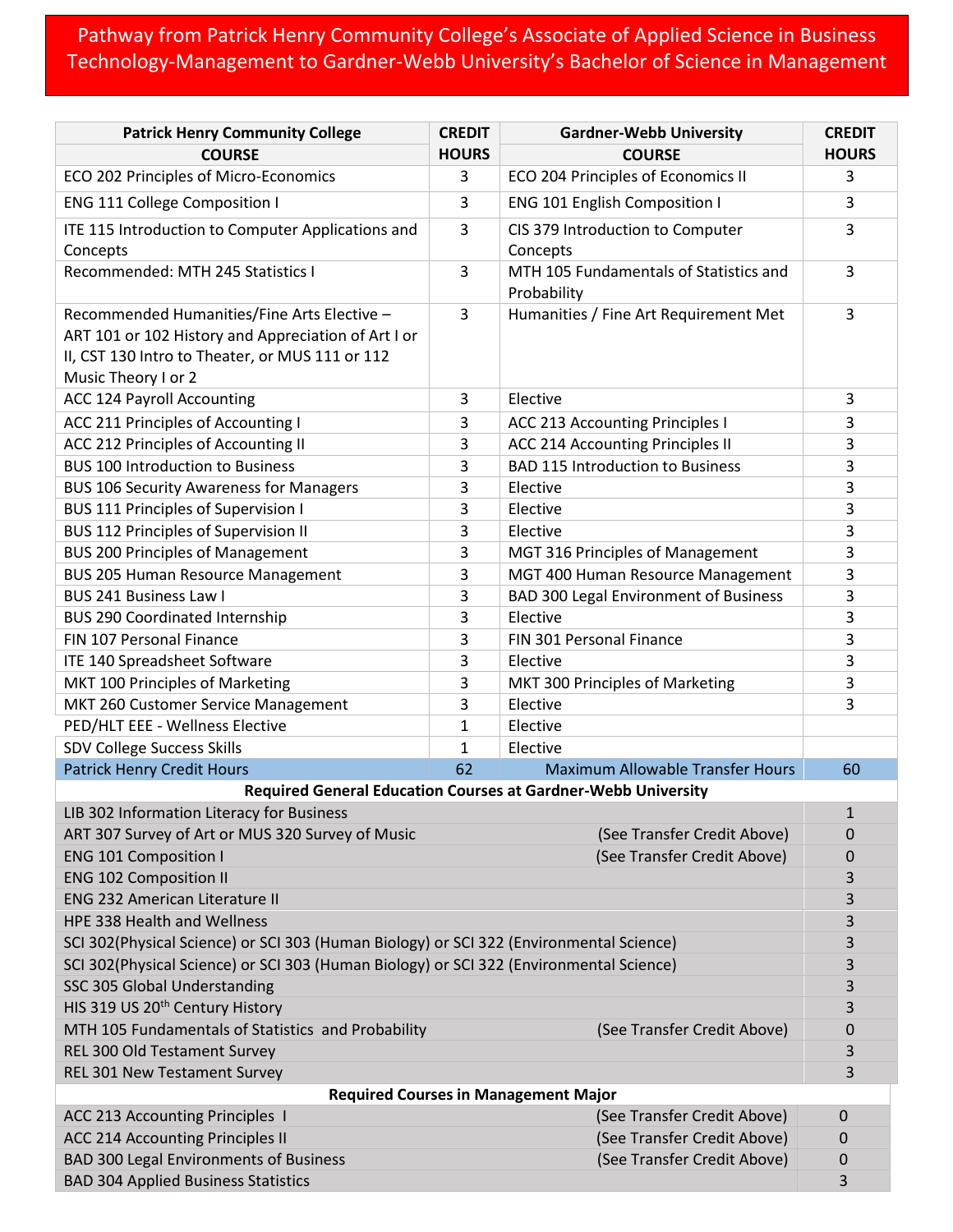## Pathway from Patrick Henry Community College's Associate of Applied Science in Business Technology-Management to Gardner-Webb University's Bachelor of Science in Management

| <b>Patrick Henry Community College</b>                                                                                                                                       | <b>CREDIT</b> | <b>Gardner-Webb University</b>                                       | <b>CREDIT</b> |  |
|------------------------------------------------------------------------------------------------------------------------------------------------------------------------------|---------------|----------------------------------------------------------------------|---------------|--|
| <b>COURSE</b>                                                                                                                                                                | <b>HOURS</b>  | <b>COURSE</b>                                                        | <b>HOURS</b>  |  |
| ECO 202 Principles of Micro-Economics                                                                                                                                        | 3             | ECO 204 Principles of Economics II                                   | 3             |  |
| <b>ENG 111 College Composition I</b>                                                                                                                                         | 3             | ENG 101 English Composition I                                        | 3             |  |
| ITE 115 Introduction to Computer Applications and<br>Concepts                                                                                                                | 3             | CIS 379 Introduction to Computer<br>Concepts                         | 3             |  |
| Recommended: MTH 245 Statistics I                                                                                                                                            | 3             | MTH 105 Fundamentals of Statistics and<br>Probability                | 3             |  |
| Recommended Humanities/Fine Arts Elective -<br>ART 101 or 102 History and Appreciation of Art I or<br>II, CST 130 Intro to Theater, or MUS 111 or 112<br>Music Theory I or 2 | 3             | Humanities / Fine Art Requirement Met                                | 3             |  |
| <b>ACC 124 Payroll Accounting</b>                                                                                                                                            | 3             | Elective                                                             | 3             |  |
| ACC 211 Principles of Accounting I                                                                                                                                           | 3             | <b>ACC 213 Accounting Principles I</b>                               | 3             |  |
| ACC 212 Principles of Accounting II                                                                                                                                          | 3             | ACC 214 Accounting Principles II                                     | 3             |  |
| <b>BUS 100 Introduction to Business</b>                                                                                                                                      | 3             | <b>BAD 115 Introduction to Business</b>                              | 3             |  |
| <b>BUS 106 Security Awareness for Managers</b>                                                                                                                               | 3             | Elective                                                             | 3             |  |
| <b>BUS 111 Principles of Supervision I</b>                                                                                                                                   | 3             | Elective                                                             | 3             |  |
| <b>BUS 112 Principles of Supervision II</b>                                                                                                                                  | 3             | Elective                                                             | 3             |  |
| <b>BUS 200 Principles of Management</b>                                                                                                                                      | 3             | MGT 316 Principles of Management                                     | 3             |  |
| <b>BUS 205 Human Resource Management</b>                                                                                                                                     | 3             | MGT 400 Human Resource Management                                    | 3             |  |
| BUS 241 Business Law I                                                                                                                                                       | 3             | <b>BAD 300 Legal Environment of Business</b>                         | 3             |  |
| <b>BUS 290 Coordinated Internship</b>                                                                                                                                        | 3             | Elective                                                             | 3             |  |
| FIN 107 Personal Finance                                                                                                                                                     | 3             | FIN 301 Personal Finance                                             | 3             |  |
| ITE 140 Spreadsheet Software                                                                                                                                                 | 3             | Elective                                                             | 3             |  |
| MKT 100 Principles of Marketing                                                                                                                                              | 3             | MKT 300 Principles of Marketing                                      | 3             |  |
| MKT 260 Customer Service Management                                                                                                                                          | 3             | Elective                                                             | 3             |  |
| PED/HLT EEE - Wellness Elective                                                                                                                                              | $\mathbf{1}$  | Elective                                                             |               |  |
| SDV College Success Skills                                                                                                                                                   | 1             | Elective                                                             |               |  |
| <b>Patrick Henry Credit Hours</b>                                                                                                                                            | 62            | <b>Maximum Allowable Transfer Hours</b>                              | 60            |  |
|                                                                                                                                                                              |               | <b>Required General Education Courses at Gardner-Webb University</b> |               |  |
| LIB 302 Information Literacy for Business<br>$\mathbf 1$                                                                                                                     |               |                                                                      |               |  |
| ART 307 Survey of Art or MUS 320 Survey of Music                                                                                                                             |               | (See Transfer Credit Above)                                          | 0             |  |
| <b>ENG 101 Composition I</b>                                                                                                                                                 |               | (See Transfer Credit Above)                                          | 0             |  |
| <b>ENG 102 Composition II</b>                                                                                                                                                |               |                                                                      | 3             |  |
| <b>ENG 232 American Literature II</b>                                                                                                                                        |               |                                                                      | 3             |  |
| HPE 338 Health and Wellness                                                                                                                                                  |               |                                                                      | 3             |  |
| SCI 302(Physical Science) or SCI 303 (Human Biology) or SCI 322 (Environmental Science)                                                                                      |               |                                                                      | 3             |  |
| SCI 302(Physical Science) or SCI 303 (Human Biology) or SCI 322 (Environmental Science)                                                                                      |               |                                                                      | 3             |  |
| SSC 305 Global Understanding                                                                                                                                                 |               |                                                                      | 3             |  |
| HIS 319 US 20 <sup>th</sup> Century History                                                                                                                                  |               |                                                                      | 3             |  |
| MTH 105 Fundamentals of Statistics and Probability                                                                                                                           |               | (See Transfer Credit Above)                                          | 0             |  |
| REL 300 Old Testament Survey                                                                                                                                                 |               |                                                                      | 3             |  |
| REL 301 New Testament Survey                                                                                                                                                 |               |                                                                      | 3             |  |
| <b>Required Courses in Management Major</b>                                                                                                                                  |               |                                                                      |               |  |
| ACC 213 Accounting Principles 1                                                                                                                                              |               | (See Transfer Credit Above)                                          | $\mathbf 0$   |  |
| <b>ACC 214 Accounting Principles II</b>                                                                                                                                      |               | (See Transfer Credit Above)                                          | 0             |  |
| <b>BAD 300 Legal Environments of Business</b>                                                                                                                                |               | (See Transfer Credit Above)                                          | 0             |  |
| <b>BAD 304 Applied Business Statistics</b>                                                                                                                                   |               |                                                                      | 3             |  |